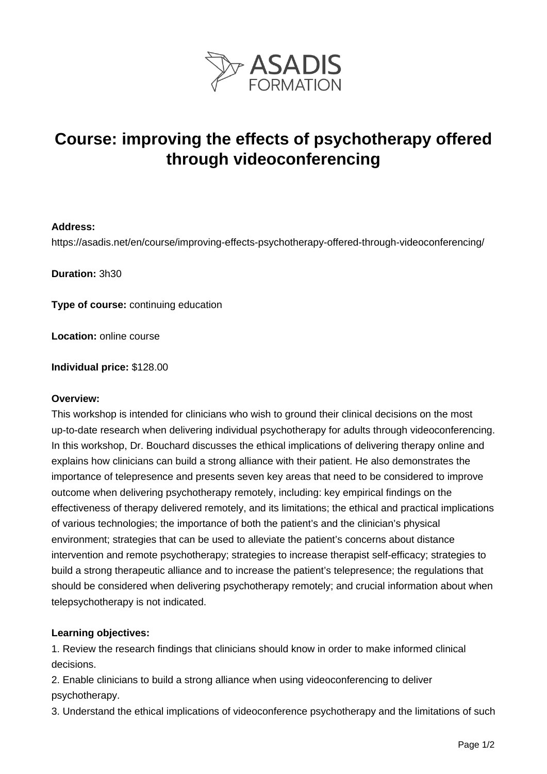

# **Course: improving the effects of psychotherapy offered through videoconferencing**

### **Address:**

https://asadis.net/en/course/improving-effects-psychotherapy-offered-through-videoconferencing/

**Duration:** 3h30

**Type of course:** continuing education

**Location:** online course

**Individual price:** \$128.00

#### **Overview:**

This workshop is intended for clinicians who wish to ground their clinical decisions on the most up-to-date research when delivering individual psychotherapy for adults through videoconferencing. In this workshop, Dr. Bouchard discusses the ethical implications of delivering therapy online and explains how clinicians can build a strong alliance with their patient. He also demonstrates the importance of telepresence and presents seven key areas that need to be considered to improve outcome when delivering psychotherapy remotely, including: key empirical findings on the effectiveness of therapy delivered remotely, and its limitations; the ethical and practical implications of various technologies; the importance of both the patient's and the clinician's physical environment; strategies that can be used to alleviate the patient's concerns about distance intervention and remote psychotherapy; strategies to increase therapist self-efficacy; strategies to build a strong therapeutic alliance and to increase the patient's telepresence; the regulations that should be considered when delivering psychotherapy remotely; and crucial information about when telepsychotherapy is not indicated.

## **Learning objectives:**

1. Review the research findings that clinicians should know in order to make informed clinical decisions.

2. Enable clinicians to build a strong alliance when using videoconferencing to deliver psychotherapy.

3. Understand the ethical implications of videoconference psychotherapy and the limitations of such